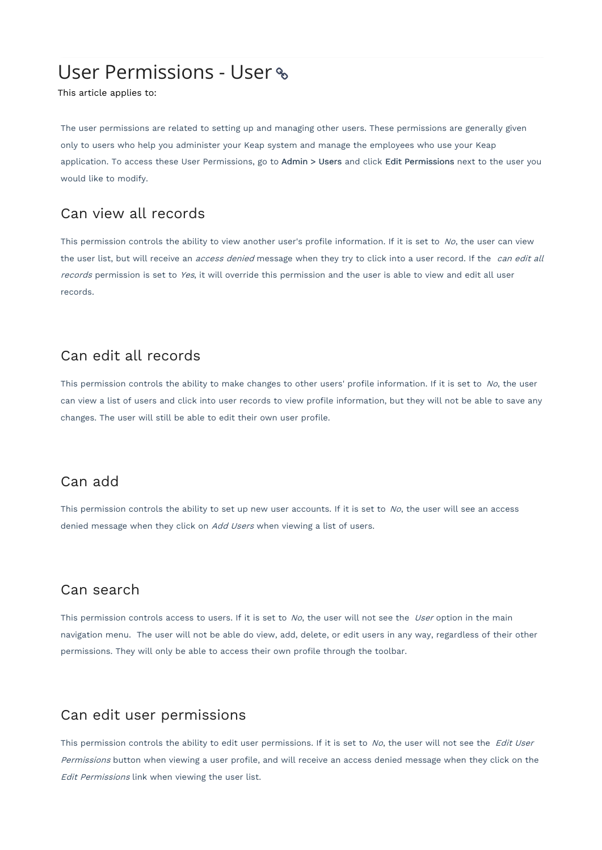# User Permissions - User

This article applies to:

The user permissions are related to setting up and managing other users. These permissions are generally given only to users who help you administer your Keap system and manage the employees who use your Keap application. To access these User Permissions, go to Admin > Users and click Edit Permissions next to the user you would like to modify.

## Can view all records

This permission controls the ability to view another user's profile information. If it is set to  $No$ , the user can view the user list, but will receive an *access denied* message when they try to click into a user record. If the *can edit all* records permission is set to Yes, it will override this permission and the user is able to view and edit all user records.

## Can edit all records

This permission controls the ability to make changes to other users' profile information. If it is set to  $N_o$ , the user can view a list of users and click into user records to view profile information, but they will not be able to save any changes. The user will still be able to edit their own user profile.

### Can add

This permission controls the ability to set up new user accounts. If it is set to  $No$ , the user will see an access denied message when they click on Add Users when viewing a list of users.

## Can search

This permission controls access to users. If it is set to  $No$ , the user will not see the User option in the main navigation menu. The user will not be able do view, add, delete, or edit users in any way, regardless of their other permissions. They will only be able to access their own profile through the toolbar.

### Can edit user permissions

This permission controls the ability to edit user permissions. If it is set to No, the user will not see the Edit User Permissions button when viewing a user profile, and will receive an access denied message when they click on the Edit Permissions link when viewing the user list.